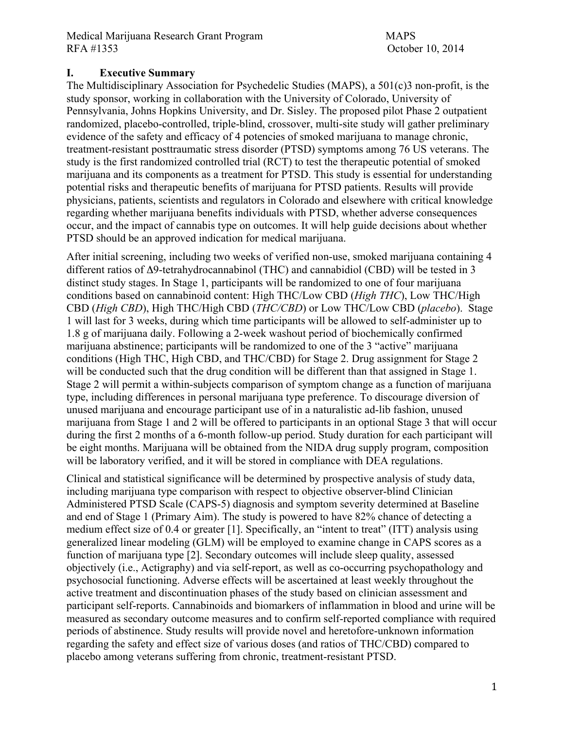### **I. Executive Summary**

The Multidisciplinary Association for Psychedelic Studies (MAPS), a 501(c)3 non-profit, is the study sponsor, working in collaboration with the University of Colorado, University of Pennsylvania, Johns Hopkins University, and Dr. Sisley. The proposed pilot Phase 2 outpatient randomized, placebo-controlled, triple-blind, crossover, multi-site study will gather preliminary evidence of the safety and efficacy of 4 potencies of smoked marijuana to manage chronic, treatment-resistant posttraumatic stress disorder (PTSD) symptoms among 76 US veterans. The study is the first randomized controlled trial (RCT) to test the therapeutic potential of smoked marijuana and its components as a treatment for PTSD. This study is essential for understanding potential risks and therapeutic benefits of marijuana for PTSD patients. Results will provide physicians, patients, scientists and regulators in Colorado and elsewhere with critical knowledge regarding whether marijuana benefits individuals with PTSD, whether adverse consequences occur, and the impact of cannabis type on outcomes. It will help guide decisions about whether PTSD should be an approved indication for medical marijuana.

After initial screening, including two weeks of verified non-use, smoked marijuana containing 4 different ratios of Δ9-tetrahydrocannabinol (THC) and cannabidiol (CBD) will be tested in 3 distinct study stages. In Stage 1, participants will be randomized to one of four marijuana conditions based on cannabinoid content: High THC/Low CBD (*High THC*), Low THC/High CBD (*High CBD*), High THC/High CBD (*THC/CBD*) or Low THC/Low CBD (*placebo*). Stage 1 will last for 3 weeks, during which time participants will be allowed to self-administer up to 1.8 g of marijuana daily. Following a 2-week washout period of biochemically confirmed marijuana abstinence; participants will be randomized to one of the 3 "active" marijuana conditions (High THC, High CBD, and THC/CBD) for Stage 2. Drug assignment for Stage 2 will be conducted such that the drug condition will be different than that assigned in Stage 1. Stage 2 will permit a within-subjects comparison of symptom change as a function of marijuana type, including differences in personal marijuana type preference. To discourage diversion of unused marijuana and encourage participant use of in a naturalistic ad-lib fashion, unused marijuana from Stage 1 and 2 will be offered to participants in an optional Stage 3 that will occur during the first 2 months of a 6-month follow-up period. Study duration for each participant will be eight months. Marijuana will be obtained from the NIDA drug supply program, composition will be laboratory verified, and it will be stored in compliance with DEA regulations.

Clinical and statistical significance will be determined by prospective analysis of study data, including marijuana type comparison with respect to objective observer-blind Clinician Administered PTSD Scale (CAPS-5) diagnosis and symptom severity determined at Baseline and end of Stage 1 (Primary Aim). The study is powered to have 82% chance of detecting a medium effect size of 0.4 or greater [1]. Specifically, an "intent to treat" (ITT) analysis using generalized linear modeling (GLM) will be employed to examine change in CAPS scores as a function of marijuana type [2]. Secondary outcomes will include sleep quality, assessed objectively (i.e., Actigraphy) and via self-report, as well as co-occurring psychopathology and psychosocial functioning. Adverse effects will be ascertained at least weekly throughout the active treatment and discontinuation phases of the study based on clinician assessment and participant self-reports. Cannabinoids and biomarkers of inflammation in blood and urine will be measured as secondary outcome measures and to confirm self-reported compliance with required periods of abstinence. Study results will provide novel and heretofore-unknown information regarding the safety and effect size of various doses (and ratios of THC/CBD) compared to placebo among veterans suffering from chronic, treatment-resistant PTSD.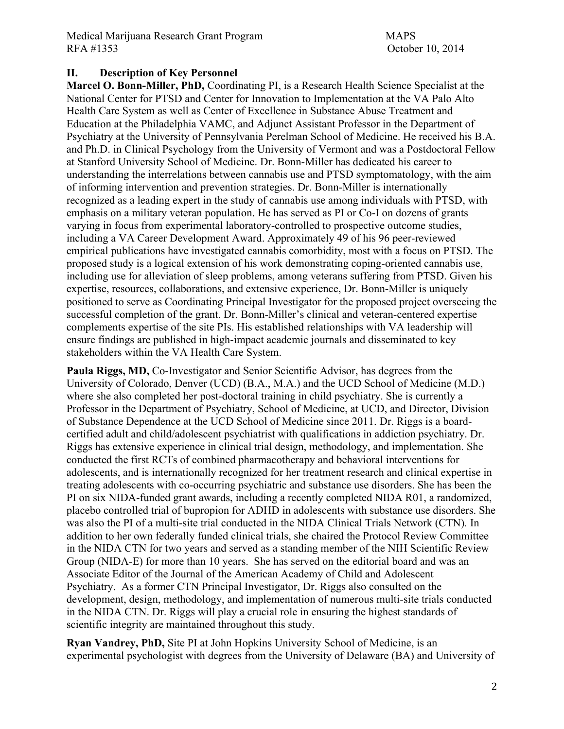### **II. Description of Key Personnel**

**Marcel O. Bonn-Miller, PhD,** Coordinating PI, is a Research Health Science Specialist at the National Center for PTSD and Center for Innovation to Implementation at the VA Palo Alto Health Care System as well as Center of Excellence in Substance Abuse Treatment and Education at the Philadelphia VAMC, and Adjunct Assistant Professor in the Department of Psychiatry at the University of Pennsylvania Perelman School of Medicine. He received his B.A. and Ph.D. in Clinical Psychology from the University of Vermont and was a Postdoctoral Fellow at Stanford University School of Medicine. Dr. Bonn-Miller has dedicated his career to understanding the interrelations between cannabis use and PTSD symptomatology, with the aim of informing intervention and prevention strategies. Dr. Bonn-Miller is internationally recognized as a leading expert in the study of cannabis use among individuals with PTSD, with emphasis on a military veteran population. He has served as PI or Co-I on dozens of grants varying in focus from experimental laboratory-controlled to prospective outcome studies, including a VA Career Development Award. Approximately 49 of his 96 peer-reviewed empirical publications have investigated cannabis comorbidity, most with a focus on PTSD. The proposed study is a logical extension of his work demonstrating coping-oriented cannabis use, including use for alleviation of sleep problems, among veterans suffering from PTSD. Given his expertise, resources, collaborations, and extensive experience, Dr. Bonn-Miller is uniquely positioned to serve as Coordinating Principal Investigator for the proposed project overseeing the successful completion of the grant. Dr. Bonn-Miller's clinical and veteran-centered expertise complements expertise of the site PIs. His established relationships with VA leadership will ensure findings are published in high-impact academic journals and disseminated to key stakeholders within the VA Health Care System.

Paula Riggs, MD, Co-Investigator and Senior Scientific Advisor, has degrees from the University of Colorado, Denver (UCD) (B.A., M.A.) and the UCD School of Medicine (M.D.) where she also completed her post-doctoral training in child psychiatry. She is currently a Professor in the Department of Psychiatry, School of Medicine, at UCD, and Director, Division of Substance Dependence at the UCD School of Medicine since 2011. Dr. Riggs is a boardcertified adult and child/adolescent psychiatrist with qualifications in addiction psychiatry. Dr. Riggs has extensive experience in clinical trial design, methodology, and implementation. She conducted the first RCTs of combined pharmacotherapy and behavioral interventions for adolescents, and is internationally recognized for her treatment research and clinical expertise in treating adolescents with co-occurring psychiatric and substance use disorders. She has been the PI on six NIDA-funded grant awards, including a recently completed NIDA R01, a randomized, placebo controlled trial of bupropion for ADHD in adolescents with substance use disorders. She was also the PI of a multi-site trial conducted in the NIDA Clinical Trials Network (CTN)*.* In addition to her own federally funded clinical trials, she chaired the Protocol Review Committee in the NIDA CTN for two years and served as a standing member of the NIH Scientific Review Group (NIDA-E) for more than 10 years. She has served on the editorial board and was an Associate Editor of the Journal of the American Academy of Child and Adolescent Psychiatry. As a former CTN Principal Investigator, Dr. Riggs also consulted on the development, design, methodology, and implementation of numerous multi-site trials conducted in the NIDA CTN. Dr. Riggs will play a crucial role in ensuring the highest standards of scientific integrity are maintained throughout this study.

**Ryan Vandrey, PhD,** Site PI at John Hopkins University School of Medicine, is an experimental psychologist with degrees from the University of Delaware (BA) and University of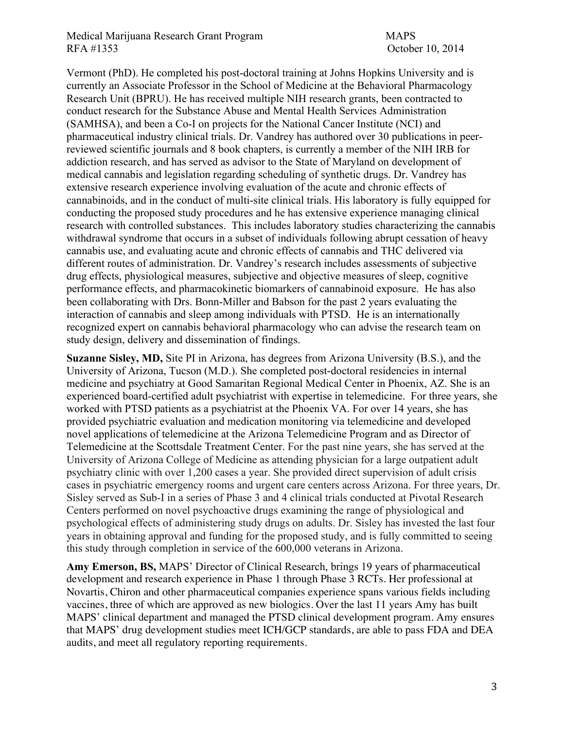### Medical Marijuana Research Grant Program MAPS RFA #1353 October 10, 2014

Vermont (PhD). He completed his post-doctoral training at Johns Hopkins University and is currently an Associate Professor in the School of Medicine at the Behavioral Pharmacology Research Unit (BPRU). He has received multiple NIH research grants, been contracted to conduct research for the Substance Abuse and Mental Health Services Administration (SAMHSA), and been a Co-I on projects for the National Cancer Institute (NCI) and pharmaceutical industry clinical trials. Dr. Vandrey has authored over 30 publications in peerreviewed scientific journals and 8 book chapters, is currently a member of the NIH IRB for addiction research, and has served as advisor to the State of Maryland on development of medical cannabis and legislation regarding scheduling of synthetic drugs. Dr. Vandrey has extensive research experience involving evaluation of the acute and chronic effects of cannabinoids, and in the conduct of multi-site clinical trials. His laboratory is fully equipped for conducting the proposed study procedures and he has extensive experience managing clinical research with controlled substances. This includes laboratory studies characterizing the cannabis withdrawal syndrome that occurs in a subset of individuals following abrupt cessation of heavy cannabis use, and evaluating acute and chronic effects of cannabis and THC delivered via different routes of administration. Dr. Vandrey's research includes assessments of subjective drug effects, physiological measures, subjective and objective measures of sleep, cognitive performance effects, and pharmacokinetic biomarkers of cannabinoid exposure. He has also been collaborating with Drs. Bonn-Miller and Babson for the past 2 years evaluating the interaction of cannabis and sleep among individuals with PTSD. He is an internationally recognized expert on cannabis behavioral pharmacology who can advise the research team on study design, delivery and dissemination of findings.

**Suzanne Sisley, MD,** Site PI in Arizona, has degrees from Arizona University (B.S.), and the University of Arizona, Tucson (M.D.). She completed post-doctoral residencies in internal medicine and psychiatry at Good Samaritan Regional Medical Center in Phoenix, AZ. She is an experienced board-certified adult psychiatrist with expertise in telemedicine. For three years, she worked with PTSD patients as a psychiatrist at the Phoenix VA. For over 14 years, she has provided psychiatric evaluation and medication monitoring via telemedicine and developed novel applications of telemedicine at the Arizona Telemedicine Program and as Director of Telemedicine at the Scottsdale Treatment Center. For the past nine years, she has served at the University of Arizona College of Medicine as attending physician for a large outpatient adult psychiatry clinic with over 1,200 cases a year. She provided direct supervision of adult crisis cases in psychiatric emergency rooms and urgent care centers across Arizona. For three years, Dr. Sisley served as Sub-I in a series of Phase 3 and 4 clinical trials conducted at Pivotal Research Centers performed on novel psychoactive drugs examining the range of physiological and psychological effects of administering study drugs on adults. Dr. Sisley has invested the last four years in obtaining approval and funding for the proposed study, and is fully committed to seeing this study through completion in service of the 600,000 veterans in Arizona.

**Amy Emerson, BS,** MAPS' Director of Clinical Research, brings 19 years of pharmaceutical development and research experience in Phase 1 through Phase 3 RCTs. Her professional at Novartis, Chiron and other pharmaceutical companies experience spans various fields including vaccines, three of which are approved as new biologics. Over the last 11 years Amy has built MAPS' clinical department and managed the PTSD clinical development program. Amy ensures that MAPS' drug development studies meet ICH/GCP standards, are able to pass FDA and DEA audits, and meet all regulatory reporting requirements.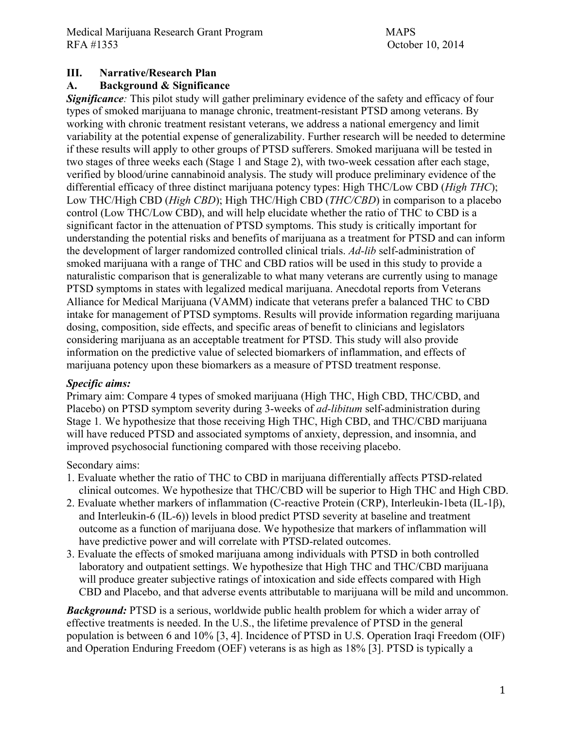# **III. Narrative/Research Plan**

### **A. Background & Significance**

*Significance:* This pilot study will gather preliminary evidence of the safety and efficacy of four types of smoked marijuana to manage chronic, treatment-resistant PTSD among veterans. By working with chronic treatment resistant veterans, we address a national emergency and limit variability at the potential expense of generalizability. Further research will be needed to determine if these results will apply to other groups of PTSD sufferers. Smoked marijuana will be tested in two stages of three weeks each (Stage 1 and Stage 2), with two-week cessation after each stage, verified by blood/urine cannabinoid analysis. The study will produce preliminary evidence of the differential efficacy of three distinct marijuana potency types: High THC/Low CBD (*High THC*); Low THC/High CBD (*High CBD*); High THC/High CBD (*THC/CBD*) in comparison to a placebo control (Low THC/Low CBD), and will help elucidate whether the ratio of THC to CBD is a significant factor in the attenuation of PTSD symptoms. This study is critically important for understanding the potential risks and benefits of marijuana as a treatment for PTSD and can inform the development of larger randomized controlled clinical trials. *Ad-lib* self-administration of smoked marijuana with a range of THC and CBD ratios will be used in this study to provide a naturalistic comparison that is generalizable to what many veterans are currently using to manage PTSD symptoms in states with legalized medical marijuana. Anecdotal reports from Veterans Alliance for Medical Marijuana (VAMM) indicate that veterans prefer a balanced THC to CBD intake for management of PTSD symptoms. Results will provide information regarding marijuana dosing, composition, side effects, and specific areas of benefit to clinicians and legislators considering marijuana as an acceptable treatment for PTSD. This study will also provide information on the predictive value of selected biomarkers of inflammation, and effects of marijuana potency upon these biomarkers as a measure of PTSD treatment response.

### *Specific aims:*

Primary aim: Compare 4 types of smoked marijuana (High THC, High CBD, THC/CBD, and Placebo) on PTSD symptom severity during 3-weeks of *ad-libitum* self-administration during Stage 1*.* We hypothesize that those receiving High THC, High CBD, and THC/CBD marijuana will have reduced PTSD and associated symptoms of anxiety, depression, and insomnia, and improved psychosocial functioning compared with those receiving placebo.

#### Secondary aims:

- 1. Evaluate whether the ratio of THC to CBD in marijuana differentially affects PTSD-related clinical outcomes. We hypothesize that THC/CBD will be superior to High THC and High CBD.
- 2. Evaluate whether markers of inflammation (C-reactive Protein (CRP), Interleukin-1beta (IL-1β), and Interleukin-6 (IL-6)) levels in blood predict PTSD severity at baseline and treatment outcome as a function of marijuana dose. We hypothesize that markers of inflammation will have predictive power and will correlate with PTSD-related outcomes.
- 3. Evaluate the effects of smoked marijuana among individuals with PTSD in both controlled laboratory and outpatient settings. We hypothesize that High THC and THC/CBD marijuana will produce greater subjective ratings of intoxication and side effects compared with High CBD and Placebo, and that adverse events attributable to marijuana will be mild and uncommon.

*Background:* PTSD is a serious, worldwide public health problem for which a wider array of effective treatments is needed. In the U.S., the lifetime prevalence of PTSD in the general population is between 6 and 10% [3, 4]. Incidence of PTSD in U.S. Operation Iraqi Freedom (OIF) and Operation Enduring Freedom (OEF) veterans is as high as 18% [3]. PTSD is typically a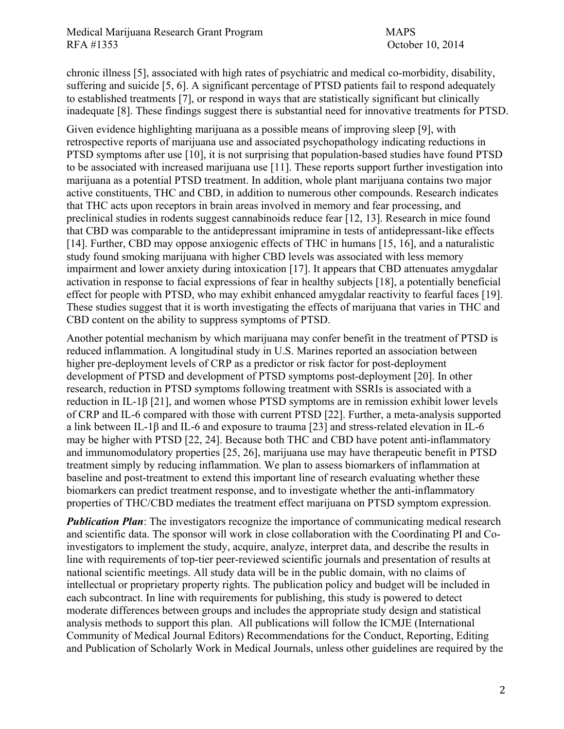chronic illness [5], associated with high rates of psychiatric and medical co-morbidity, disability, suffering and suicide [5, 6]. A significant percentage of PTSD patients fail to respond adequately to established treatments [7], or respond in ways that are statistically significant but clinically inadequate [8]. These findings suggest there is substantial need for innovative treatments for PTSD.

Given evidence highlighting marijuana as a possible means of improving sleep [9], with retrospective reports of marijuana use and associated psychopathology indicating reductions in PTSD symptoms after use [10], it is not surprising that population-based studies have found PTSD to be associated with increased marijuana use [11]. These reports support further investigation into marijuana as a potential PTSD treatment. In addition, whole plant marijuana contains two major active constituents, THC and CBD, in addition to numerous other compounds. Research indicates that THC acts upon receptors in brain areas involved in memory and fear processing, and preclinical studies in rodents suggest cannabinoids reduce fear [12, 13]. Research in mice found that CBD was comparable to the antidepressant imipramine in tests of antidepressant-like effects [14]. Further, CBD may oppose anxiogenic effects of THC in humans [15, 16], and a naturalistic study found smoking marijuana with higher CBD levels was associated with less memory impairment and lower anxiety during intoxication [17]. It appears that CBD attenuates amygdalar activation in response to facial expressions of fear in healthy subjects [18], a potentially beneficial effect for people with PTSD, who may exhibit enhanced amygdalar reactivity to fearful faces [19]. These studies suggest that it is worth investigating the effects of marijuana that varies in THC and CBD content on the ability to suppress symptoms of PTSD.

Another potential mechanism by which marijuana may confer benefit in the treatment of PTSD is reduced inflammation. A longitudinal study in U.S. Marines reported an association between higher pre-deployment levels of CRP as a predictor or risk factor for post-deployment development of PTSD and development of PTSD symptoms post-deployment [20]. In other research, reduction in PTSD symptoms following treatment with SSRIs is associated with a reduction in IL-1β [21], and women whose PTSD symptoms are in remission exhibit lower levels of CRP and IL-6 compared with those with current PTSD [22]. Further, a meta-analysis supported a link between IL-1β and IL-6 and exposure to trauma [23] and stress-related elevation in IL-6 may be higher with PTSD [22, 24]. Because both THC and CBD have potent anti-inflammatory and immunomodulatory properties [25, 26], marijuana use may have therapeutic benefit in PTSD treatment simply by reducing inflammation. We plan to assess biomarkers of inflammation at baseline and post-treatment to extend this important line of research evaluating whether these biomarkers can predict treatment response, and to investigate whether the anti-inflammatory properties of THC/CBD mediates the treatment effect marijuana on PTSD symptom expression.

*Publication Plan*: The investigators recognize the importance of communicating medical research and scientific data. The sponsor will work in close collaboration with the Coordinating PI and Coinvestigators to implement the study, acquire, analyze, interpret data, and describe the results in line with requirements of top-tier peer-reviewed scientific journals and presentation of results at national scientific meetings. All study data will be in the public domain, with no claims of intellectual or proprietary property rights. The publication policy and budget will be included in each subcontract. In line with requirements for publishing, this study is powered to detect moderate differences between groups and includes the appropriate study design and statistical analysis methods to support this plan. All publications will follow the ICMJE (International Community of Medical Journal Editors) Recommendations for the Conduct, Reporting, Editing and Publication of Scholarly Work in Medical Journals, unless other guidelines are required by the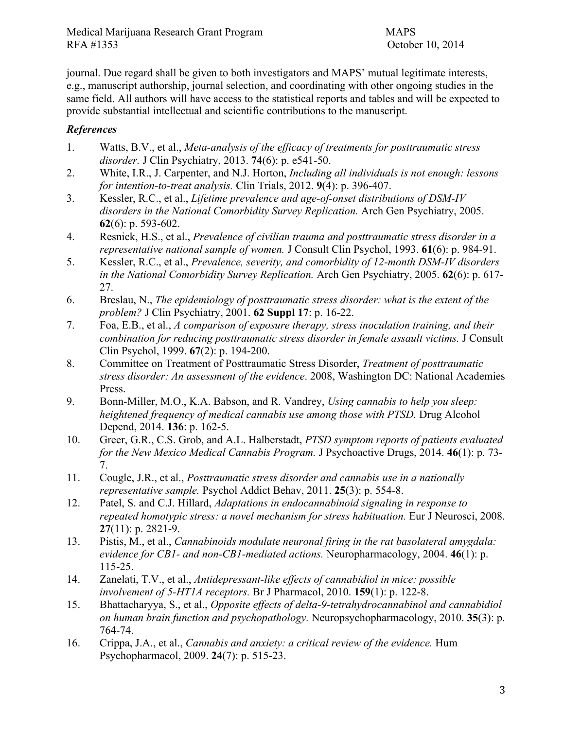journal. Due regard shall be given to both investigators and MAPS' mutual legitimate interests, e.g., manuscript authorship, journal selection, and coordinating with other ongoing studies in the same field. All authors will have access to the statistical reports and tables and will be expected to provide substantial intellectual and scientific contributions to the manuscript.

# *References*

- 1. Watts, B.V., et al., *Meta-analysis of the efficacy of treatments for posttraumatic stress disorder.* J Clin Psychiatry, 2013. **74**(6): p. e541-50.
- 2. White, I.R., J. Carpenter, and N.J. Horton, *Including all individuals is not enough: lessons for intention-to-treat analysis.* Clin Trials, 2012. **9**(4): p. 396-407.
- 3. Kessler, R.C., et al., *Lifetime prevalence and age-of-onset distributions of DSM-IV disorders in the National Comorbidity Survey Replication.* Arch Gen Psychiatry, 2005. **62**(6): p. 593-602.
- 4. Resnick, H.S., et al., *Prevalence of civilian trauma and posttraumatic stress disorder in a representative national sample of women.* J Consult Clin Psychol, 1993. **61**(6): p. 984-91.
- 5. Kessler, R.C., et al., *Prevalence, severity, and comorbidity of 12-month DSM-IV disorders in the National Comorbidity Survey Replication.* Arch Gen Psychiatry, 2005. **62**(6): p. 617- 27.
- 6. Breslau, N., *The epidemiology of posttraumatic stress disorder: what is the extent of the problem?* J Clin Psychiatry, 2001. **62 Suppl 17**: p. 16-22.
- 7. Foa, E.B., et al., *A comparison of exposure therapy, stress inoculation training, and their combination for reducing posttraumatic stress disorder in female assault victims.* J Consult Clin Psychol, 1999. **67**(2): p. 194-200.
- 8. Committee on Treatment of Posttraumatic Stress Disorder, *Treatment of posttraumatic stress disorder: An assessment of the evidence*. 2008, Washington DC: National Academies Press.
- 9. Bonn-Miller, M.O., K.A. Babson, and R. Vandrey, *Using cannabis to help you sleep: heightened frequency of medical cannabis use among those with PTSD.* Drug Alcohol Depend, 2014. **136**: p. 162-5.
- 10. Greer, G.R., C.S. Grob, and A.L. Halberstadt, *PTSD symptom reports of patients evaluated for the New Mexico Medical Cannabis Program.* J Psychoactive Drugs, 2014. **46**(1): p. 73- 7.
- 11. Cougle, J.R., et al., *Posttraumatic stress disorder and cannabis use in a nationally representative sample.* Psychol Addict Behav, 2011. **25**(3): p. 554-8.
- 12. Patel, S. and C.J. Hillard, *Adaptations in endocannabinoid signaling in response to repeated homotypic stress: a novel mechanism for stress habituation.* Eur J Neurosci, 2008. **27**(11): p. 2821-9.
- 13. Pistis, M., et al., *Cannabinoids modulate neuronal firing in the rat basolateral amygdala: evidence for CB1- and non-CB1-mediated actions.* Neuropharmacology, 2004. **46**(1): p. 115-25.
- 14. Zanelati, T.V., et al., *Antidepressant-like effects of cannabidiol in mice: possible involvement of 5-HT1A receptors.* Br J Pharmacol, 2010. **159**(1): p. 122-8.
- 15. Bhattacharyya, S., et al., *Opposite effects of delta-9-tetrahydrocannabinol and cannabidiol on human brain function and psychopathology.* Neuropsychopharmacology, 2010. **35**(3): p. 764-74.
- 16. Crippa, J.A., et al., *Cannabis and anxiety: a critical review of the evidence.* Hum Psychopharmacol, 2009. **24**(7): p. 515-23.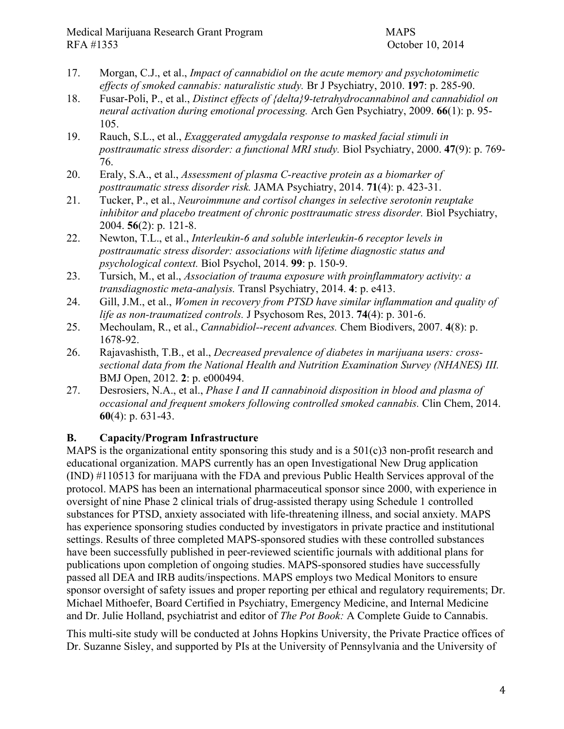- 17. Morgan, C.J., et al., *Impact of cannabidiol on the acute memory and psychotomimetic effects of smoked cannabis: naturalistic study.* Br J Psychiatry, 2010. **197**: p. 285-90.
- 18. Fusar-Poli, P., et al., *Distinct effects of {delta}9-tetrahydrocannabinol and cannabidiol on neural activation during emotional processing.* Arch Gen Psychiatry, 2009. **66**(1): p. 95- 105.
- 19. Rauch, S.L., et al., *Exaggerated amygdala response to masked facial stimuli in posttraumatic stress disorder: a functional MRI study.* Biol Psychiatry, 2000. **47**(9): p. 769- 76.
- 20. Eraly, S.A., et al., *Assessment of plasma C-reactive protein as a biomarker of posttraumatic stress disorder risk.* JAMA Psychiatry, 2014. **71**(4): p. 423-31.
- 21. Tucker, P., et al., *Neuroimmune and cortisol changes in selective serotonin reuptake inhibitor and placebo treatment of chronic posttraumatic stress disorder.* Biol Psychiatry, 2004. **56**(2): p. 121-8.
- 22. Newton, T.L., et al., *Interleukin-6 and soluble interleukin-6 receptor levels in posttraumatic stress disorder: associations with lifetime diagnostic status and psychological context.* Biol Psychol, 2014. **99**: p. 150-9.
- 23. Tursich, M., et al., *Association of trauma exposure with proinflammatory activity: a transdiagnostic meta-analysis.* Transl Psychiatry, 2014. **4**: p. e413.
- 24. Gill, J.M., et al., *Women in recovery from PTSD have similar inflammation and quality of life as non-traumatized controls.* J Psychosom Res, 2013. **74**(4): p. 301-6.
- 25. Mechoulam, R., et al., *Cannabidiol--recent advances.* Chem Biodivers, 2007. **4**(8): p. 1678-92.
- 26. Rajavashisth, T.B., et al., *Decreased prevalence of diabetes in marijuana users: crosssectional data from the National Health and Nutrition Examination Survey (NHANES) III.* BMJ Open, 2012. **2**: p. e000494.
- 27. Desrosiers, N.A., et al., *Phase I and II cannabinoid disposition in blood and plasma of occasional and frequent smokers following controlled smoked cannabis.* Clin Chem, 2014. **60**(4): p. 631-43.

# **B. Capacity/Program Infrastructure**

MAPS is the organizational entity sponsoring this study and is a  $501(c)3$  non-profit research and educational organization. MAPS currently has an open Investigational New Drug application (IND) #110513 for marijuana with the FDA and previous Public Health Services approval of the protocol. MAPS has been an international pharmaceutical sponsor since 2000, with experience in oversight of nine Phase 2 clinical trials of drug-assisted therapy using Schedule 1 controlled substances for PTSD, anxiety associated with life-threatening illness, and social anxiety. MAPS has experience sponsoring studies conducted by investigators in private practice and institutional settings. Results of three completed MAPS-sponsored studies with these controlled substances have been successfully published in peer-reviewed scientific journals with additional plans for publications upon completion of ongoing studies. MAPS-sponsored studies have successfully passed all DEA and IRB audits/inspections. MAPS employs two Medical Monitors to ensure sponsor oversight of safety issues and proper reporting per ethical and regulatory requirements; Dr. Michael Mithoefer, Board Certified in Psychiatry, Emergency Medicine, and Internal Medicine and Dr. Julie Holland, psychiatrist and editor of *The Pot Book:* A Complete Guide to Cannabis.

This multi-site study will be conducted at Johns Hopkins University, the Private Practice offices of Dr. Suzanne Sisley, and supported by PIs at the University of Pennsylvania and the University of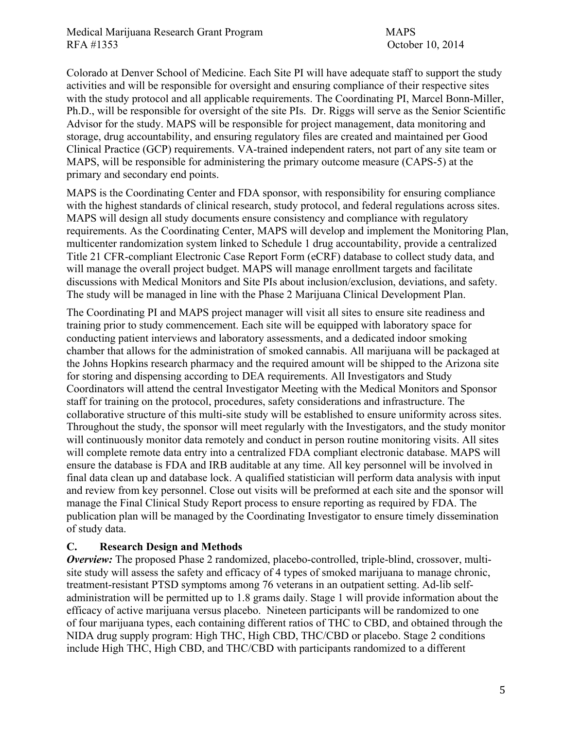Medical Marijuana Research Grant Program MAPS RFA #1353 October 10, 2014

Colorado at Denver School of Medicine. Each Site PI will have adequate staff to support the study activities and will be responsible for oversight and ensuring compliance of their respective sites with the study protocol and all applicable requirements. The Coordinating PI, Marcel Bonn-Miller, Ph.D., will be responsible for oversight of the site PIs. Dr. Riggs will serve as the Senior Scientific Advisor for the study. MAPS will be responsible for project management, data monitoring and storage, drug accountability, and ensuring regulatory files are created and maintained per Good Clinical Practice (GCP) requirements. VA-trained independent raters, not part of any site team or MAPS, will be responsible for administering the primary outcome measure (CAPS-5) at the primary and secondary end points.

MAPS is the Coordinating Center and FDA sponsor, with responsibility for ensuring compliance with the highest standards of clinical research, study protocol, and federal regulations across sites. MAPS will design all study documents ensure consistency and compliance with regulatory requirements. As the Coordinating Center, MAPS will develop and implement the Monitoring Plan, multicenter randomization system linked to Schedule 1 drug accountability, provide a centralized Title 21 CFR-compliant Electronic Case Report Form (eCRF) database to collect study data, and will manage the overall project budget. MAPS will manage enrollment targets and facilitate discussions with Medical Monitors and Site PIs about inclusion/exclusion, deviations, and safety. The study will be managed in line with the Phase 2 Marijuana Clinical Development Plan.

The Coordinating PI and MAPS project manager will visit all sites to ensure site readiness and training prior to study commencement. Each site will be equipped with laboratory space for conducting patient interviews and laboratory assessments, and a dedicated indoor smoking chamber that allows for the administration of smoked cannabis. All marijuana will be packaged at the Johns Hopkins research pharmacy and the required amount will be shipped to the Arizona site for storing and dispensing according to DEA requirements. All Investigators and Study Coordinators will attend the central Investigator Meeting with the Medical Monitors and Sponsor staff for training on the protocol, procedures, safety considerations and infrastructure. The collaborative structure of this multi-site study will be established to ensure uniformity across sites. Throughout the study, the sponsor will meet regularly with the Investigators, and the study monitor will continuously monitor data remotely and conduct in person routine monitoring visits. All sites will complete remote data entry into a centralized FDA compliant electronic database. MAPS will ensure the database is FDA and IRB auditable at any time. All key personnel will be involved in final data clean up and database lock. A qualified statistician will perform data analysis with input and review from key personnel. Close out visits will be preformed at each site and the sponsor will manage the Final Clinical Study Report process to ensure reporting as required by FDA. The publication plan will be managed by the Coordinating Investigator to ensure timely dissemination of study data.

### **C. Research Design and Methods**

*Overview:* The proposed Phase 2 randomized, placebo-controlled, triple-blind, crossover, multisite study will assess the safety and efficacy of 4 types of smoked marijuana to manage chronic, treatment-resistant PTSD symptoms among 76 veterans in an outpatient setting. Ad-lib selfadministration will be permitted up to 1.8 grams daily. Stage 1 will provide information about the efficacy of active marijuana versus placebo. Nineteen participants will be randomized to one of four marijuana types, each containing different ratios of THC to CBD, and obtained through the NIDA drug supply program: High THC, High CBD, THC/CBD or placebo. Stage 2 conditions include High THC, High CBD, and THC/CBD with participants randomized to a different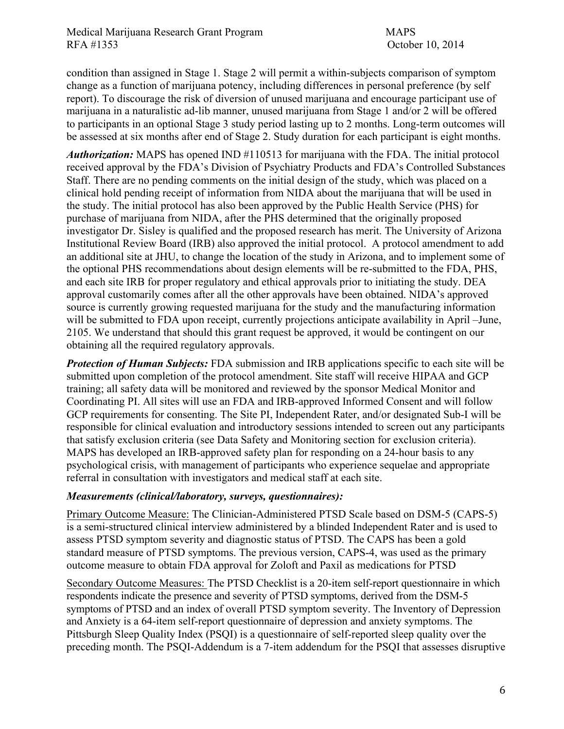condition than assigned in Stage 1. Stage 2 will permit a within-subjects comparison of symptom change as a function of marijuana potency, including differences in personal preference (by self report). To discourage the risk of diversion of unused marijuana and encourage participant use of marijuana in a naturalistic ad-lib manner, unused marijuana from Stage 1 and/or 2 will be offered to participants in an optional Stage 3 study period lasting up to 2 months. Long-term outcomes will be assessed at six months after end of Stage 2. Study duration for each participant is eight months.

*Authorization:* MAPS has opened IND #110513 for marijuana with the FDA. The initial protocol received approval by the FDA's Division of Psychiatry Products and FDA's Controlled Substances Staff. There are no pending comments on the initial design of the study, which was placed on a clinical hold pending receipt of information from NIDA about the marijuana that will be used in the study. The initial protocol has also been approved by the Public Health Service (PHS) for purchase of marijuana from NIDA, after the PHS determined that the originally proposed investigator Dr. Sisley is qualified and the proposed research has merit. The University of Arizona Institutional Review Board (IRB) also approved the initial protocol. A protocol amendment to add an additional site at JHU, to change the location of the study in Arizona, and to implement some of the optional PHS recommendations about design elements will be re-submitted to the FDA, PHS, and each site IRB for proper regulatory and ethical approvals prior to initiating the study. DEA approval customarily comes after all the other approvals have been obtained. NIDA's approved source is currently growing requested marijuana for the study and the manufacturing information will be submitted to FDA upon receipt, currently projections anticipate availability in April –June, 2105. We understand that should this grant request be approved, it would be contingent on our obtaining all the required regulatory approvals.

*Protection of Human Subjects:* FDA submission and IRB applications specific to each site will be submitted upon completion of the protocol amendment. Site staff will receive HIPAA and GCP training; all safety data will be monitored and reviewed by the sponsor Medical Monitor and Coordinating PI. All sites will use an FDA and IRB-approved Informed Consent and will follow GCP requirements for consenting. The Site PI, Independent Rater, and/or designated Sub-I will be responsible for clinical evaluation and introductory sessions intended to screen out any participants that satisfy exclusion criteria (see Data Safety and Monitoring section for exclusion criteria). MAPS has developed an IRB-approved safety plan for responding on a 24-hour basis to any psychological crisis, with management of participants who experience sequelae and appropriate referral in consultation with investigators and medical staff at each site.

### *Measurements (clinical/laboratory, surveys, questionnaires):*

Primary Outcome Measure: The Clinician-Administered PTSD Scale based on DSM-5 (CAPS-5) is a semi-structured clinical interview administered by a blinded Independent Rater and is used to assess PTSD symptom severity and diagnostic status of PTSD. The CAPS has been a gold standard measure of PTSD symptoms. The previous version, CAPS-4, was used as the primary outcome measure to obtain FDA approval for Zoloft and Paxil as medications for PTSD

Secondary Outcome Measures: The PTSD Checklist is a 20-item self-report questionnaire in which respondents indicate the presence and severity of PTSD symptoms, derived from the DSM-5 symptoms of PTSD and an index of overall PTSD symptom severity. The Inventory of Depression and Anxiety is a 64-item self-report questionnaire of depression and anxiety symptoms. The Pittsburgh Sleep Quality Index (PSQI) is a questionnaire of self-reported sleep quality over the preceding month. The PSQI-Addendum is a 7-item addendum for the PSQI that assesses disruptive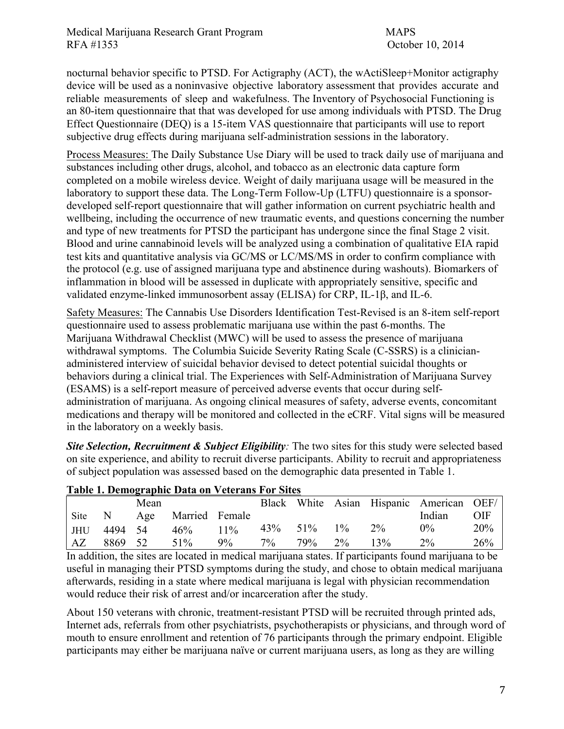nocturnal behavior specific to PTSD. For Actigraphy (ACT), the wActiSleep+Monitor actigraphy device will be used as a noninvasive objective laboratory assessment that provides accurate and reliable measurements of sleep and wakefulness. The Inventory of Psychosocial Functioning is an 80-item questionnaire that that was developed for use among individuals with PTSD. The Drug Effect Questionnaire (DEQ) is a 15-item VAS questionnaire that participants will use to report subjective drug effects during marijuana self-administration sessions in the laboratory.

Process Measures: The Daily Substance Use Diary will be used to track daily use of marijuana and substances including other drugs, alcohol, and tobacco as an electronic data capture form completed on a mobile wireless device. Weight of daily marijuana usage will be measured in the laboratory to support these data. The Long-Term Follow-Up (LTFU) questionnaire is a sponsordeveloped self-report questionnaire that will gather information on current psychiatric health and wellbeing, including the occurrence of new traumatic events, and questions concerning the number and type of new treatments for PTSD the participant has undergone since the final Stage 2 visit. Blood and urine cannabinoid levels will be analyzed using a combination of qualitative EIA rapid test kits and quantitative analysis via GC/MS or LC/MS/MS in order to confirm compliance with the protocol (e.g. use of assigned marijuana type and abstinence during washouts). Biomarkers of inflammation in blood will be assessed in duplicate with appropriately sensitive, specific and validated enzyme-linked immunosorbent assay (ELISA) for CRP, IL-1β, and IL-6.

Safety Measures: The Cannabis Use Disorders Identification Test-Revised is an 8-item self-report questionnaire used to assess problematic marijuana use within the past 6-months. The Marijuana Withdrawal Checklist (MWC) will be used to assess the presence of marijuana withdrawal symptoms. The Columbia Suicide Severity Rating Scale (C-SSRS) is a clinicianadministered interview of suicidal behavior devised to detect potential suicidal thoughts or behaviors during a clinical trial. The Experiences with Self-Administration of Marijuana Survey (ESAMS) is a self-report measure of perceived adverse events that occur during selfadministration of marijuana. As ongoing clinical measures of safety, adverse events, concomitant medications and therapy will be monitored and collected in the eCRF. Vital signs will be measured in the laboratory on a weekly basis.

*Site Selection, Recruitment & Subject Eligibility:* The two sites for this study were selected based on site experience, and ability to recruit diverse participants. Ability to recruit and appropriateness of subject population was assessed based on the demographic data presented in Table 1.

| Table 1. Demographic Data on Veterans Por Sites |             |      |                    |    |    |         |       |       |                                          |     |  |  |
|-------------------------------------------------|-------------|------|--------------------|----|----|---------|-------|-------|------------------------------------------|-----|--|--|
|                                                 |             | Mean |                    |    |    |         |       |       | Black White Asian Hispanic American OEF/ |     |  |  |
| Site                                            | $\mathbf N$ |      | Age Married Female |    |    |         |       |       | Indian                                   | OIF |  |  |
| <b>JHU</b>                                      | 4494 54     |      | $46\%$ 11%         |    |    | 43% 51% | $1\%$ | $2\%$ | $0\%$                                    | 20% |  |  |
| AZ                                              | 8869 52     |      | 51%                | 9% | 7% | 79%     | 2%    | 13%   | $2\%$                                    | 26% |  |  |

### **Table 1. Demographic Data on Veterans For Sites**

In addition, the sites are located in medical marijuana states. If participants found marijuana to be useful in managing their PTSD symptoms during the study, and chose to obtain medical marijuana afterwards, residing in a state where medical marijuana is legal with physician recommendation would reduce their risk of arrest and/or incarceration after the study.

About 150 veterans with chronic, treatment-resistant PTSD will be recruited through printed ads, Internet ads, referrals from other psychiatrists, psychotherapists or physicians, and through word of mouth to ensure enrollment and retention of 76 participants through the primary endpoint. Eligible participants may either be marijuana naïve or current marijuana users, as long as they are willing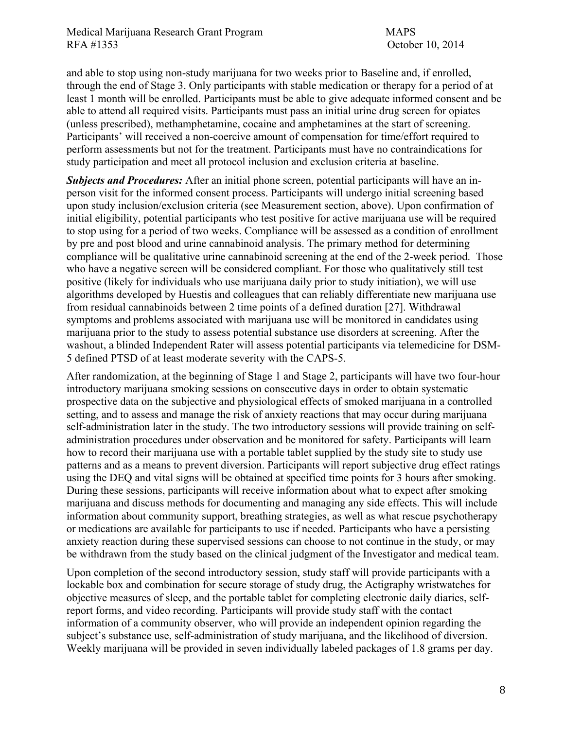and able to stop using non-study marijuana for two weeks prior to Baseline and, if enrolled, through the end of Stage 3. Only participants with stable medication or therapy for a period of at least 1 month will be enrolled. Participants must be able to give adequate informed consent and be able to attend all required visits. Participants must pass an initial urine drug screen for opiates (unless prescribed), methamphetamine, cocaine and amphetamines at the start of screening. Participants' will received a non-coercive amount of compensation for time/effort required to perform assessments but not for the treatment. Participants must have no contraindications for study participation and meet all protocol inclusion and exclusion criteria at baseline.

*Subjects and Procedures:* After an initial phone screen, potential participants will have an inperson visit for the informed consent process. Participants will undergo initial screening based upon study inclusion/exclusion criteria (see Measurement section, above). Upon confirmation of initial eligibility, potential participants who test positive for active marijuana use will be required to stop using for a period of two weeks. Compliance will be assessed as a condition of enrollment by pre and post blood and urine cannabinoid analysis. The primary method for determining compliance will be qualitative urine cannabinoid screening at the end of the 2-week period. Those who have a negative screen will be considered compliant. For those who qualitatively still test positive (likely for individuals who use marijuana daily prior to study initiation), we will use algorithms developed by Huestis and colleagues that can reliably differentiate new marijuana use from residual cannabinoids between 2 time points of a defined duration [27]. Withdrawal symptoms and problems associated with marijuana use will be monitored in candidates using marijuana prior to the study to assess potential substance use disorders at screening. After the washout, a blinded Independent Rater will assess potential participants via telemedicine for DSM-5 defined PTSD of at least moderate severity with the CAPS-5.

After randomization, at the beginning of Stage 1 and Stage 2, participants will have two four-hour introductory marijuana smoking sessions on consecutive days in order to obtain systematic prospective data on the subjective and physiological effects of smoked marijuana in a controlled setting, and to assess and manage the risk of anxiety reactions that may occur during marijuana self-administration later in the study. The two introductory sessions will provide training on selfadministration procedures under observation and be monitored for safety. Participants will learn how to record their marijuana use with a portable tablet supplied by the study site to study use patterns and as a means to prevent diversion. Participants will report subjective drug effect ratings using the DEQ and vital signs will be obtained at specified time points for 3 hours after smoking. During these sessions, participants will receive information about what to expect after smoking marijuana and discuss methods for documenting and managing any side effects. This will include information about community support, breathing strategies, as well as what rescue psychotherapy or medications are available for participants to use if needed. Participants who have a persisting anxiety reaction during these supervised sessions can choose to not continue in the study, or may be withdrawn from the study based on the clinical judgment of the Investigator and medical team.

Upon completion of the second introductory session, study staff will provide participants with a lockable box and combination for secure storage of study drug, the Actigraphy wristwatches for objective measures of sleep, and the portable tablet for completing electronic daily diaries, selfreport forms, and video recording. Participants will provide study staff with the contact information of a community observer, who will provide an independent opinion regarding the subject's substance use, self-administration of study marijuana, and the likelihood of diversion. Weekly marijuana will be provided in seven individually labeled packages of 1.8 grams per day.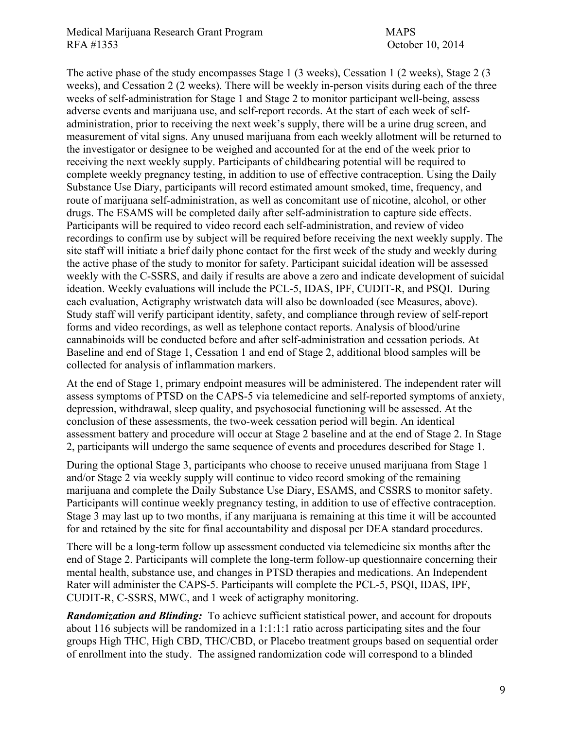The active phase of the study encompasses Stage 1 (3 weeks), Cessation 1 (2 weeks), Stage 2 (3 weeks), and Cessation 2 (2 weeks). There will be weekly in-person visits during each of the three weeks of self-administration for Stage 1 and Stage 2 to monitor participant well-being, assess adverse events and marijuana use, and self-report records. At the start of each week of selfadministration, prior to receiving the next week's supply, there will be a urine drug screen, and measurement of vital signs. Any unused marijuana from each weekly allotment will be returned to the investigator or designee to be weighed and accounted for at the end of the week prior to receiving the next weekly supply. Participants of childbearing potential will be required to complete weekly pregnancy testing, in addition to use of effective contraception. Using the Daily Substance Use Diary, participants will record estimated amount smoked, time, frequency, and route of marijuana self-administration, as well as concomitant use of nicotine, alcohol, or other drugs. The ESAMS will be completed daily after self-administration to capture side effects. Participants will be required to video record each self-administration, and review of video recordings to confirm use by subject will be required before receiving the next weekly supply. The site staff will initiate a brief daily phone contact for the first week of the study and weekly during the active phase of the study to monitor for safety. Participant suicidal ideation will be assessed weekly with the C-SSRS, and daily if results are above a zero and indicate development of suicidal ideation. Weekly evaluations will include the PCL-5, IDAS, IPF, CUDIT-R, and PSQI. During each evaluation, Actigraphy wristwatch data will also be downloaded (see Measures, above). Study staff will verify participant identity, safety, and compliance through review of self-report forms and video recordings, as well as telephone contact reports. Analysis of blood/urine cannabinoids will be conducted before and after self-administration and cessation periods. At Baseline and end of Stage 1, Cessation 1 and end of Stage 2, additional blood samples will be collected for analysis of inflammation markers.

At the end of Stage 1, primary endpoint measures will be administered. The independent rater will assess symptoms of PTSD on the CAPS-5 via telemedicine and self-reported symptoms of anxiety, depression, withdrawal, sleep quality, and psychosocial functioning will be assessed. At the conclusion of these assessments, the two-week cessation period will begin. An identical assessment battery and procedure will occur at Stage 2 baseline and at the end of Stage 2. In Stage 2, participants will undergo the same sequence of events and procedures described for Stage 1.

During the optional Stage 3, participants who choose to receive unused marijuana from Stage 1 and/or Stage 2 via weekly supply will continue to video record smoking of the remaining marijuana and complete the Daily Substance Use Diary, ESAMS, and CSSRS to monitor safety. Participants will continue weekly pregnancy testing, in addition to use of effective contraception. Stage 3 may last up to two months, if any marijuana is remaining at this time it will be accounted for and retained by the site for final accountability and disposal per DEA standard procedures.

There will be a long-term follow up assessment conducted via telemedicine six months after the end of Stage 2. Participants will complete the long-term follow-up questionnaire concerning their mental health, substance use, and changes in PTSD therapies and medications. An Independent Rater will administer the CAPS-5. Participants will complete the PCL-5, PSQI, IDAS, IPF, CUDIT-R, C-SSRS, MWC, and 1 week of actigraphy monitoring.

*Randomization and Blinding:* To achieve sufficient statistical power, and account for dropouts about 116 subjects will be randomized in a 1:1:1:1 ratio across participating sites and the four groups High THC, High CBD, THC/CBD, or Placebo treatment groups based on sequential order of enrollment into the study. The assigned randomization code will correspond to a blinded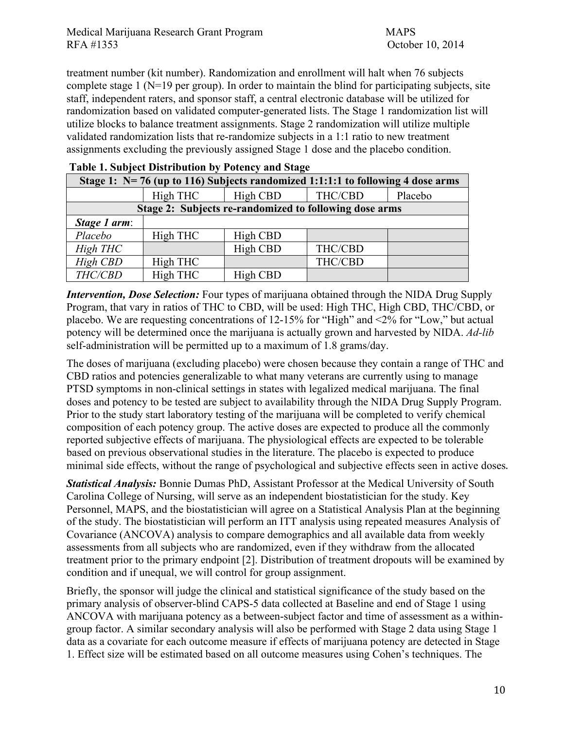treatment number (kit number). Randomization and enrollment will halt when 76 subjects complete stage 1 (N=19 per group). In order to maintain the blind for participating subjects, site staff, independent raters, and sponsor staff, a central electronic database will be utilized for randomization based on validated computer-generated lists. The Stage 1 randomization list will utilize blocks to balance treatment assignments. Stage 2 randomization will utilize multiple validated randomization lists that re-randomize subjects in a 1:1 ratio to new treatment assignments excluding the previously assigned Stage 1 dose and the placebo condition.

| Stage 1: $N=76$ (up to 116) Subjects randomized 1:1:1:1 to following 4 dose arms |          |          |         |         |  |  |  |  |  |  |
|----------------------------------------------------------------------------------|----------|----------|---------|---------|--|--|--|--|--|--|
|                                                                                  | High THC | High CBD | THC/CBD | Placebo |  |  |  |  |  |  |
| Stage 2: Subjects re-randomized to following dose arms                           |          |          |         |         |  |  |  |  |  |  |
| Stage 1 arm:                                                                     |          |          |         |         |  |  |  |  |  |  |
| Placebo                                                                          | High THC | High CBD |         |         |  |  |  |  |  |  |
| High THC                                                                         |          | High CBD | THC/CBD |         |  |  |  |  |  |  |
| High CBD                                                                         | High THC |          | THC/CBD |         |  |  |  |  |  |  |
| THC/CBD                                                                          | High THC | High CBD |         |         |  |  |  |  |  |  |

#### **Table 1. Subject Distribution by Potency and Stage**

*Intervention, Dose Selection:* Four types of marijuana obtained through the NIDA Drug Supply Program, that vary in ratios of THC to CBD, will be used: High THC, High CBD, THC/CBD, or placebo. We are requesting concentrations of 12-15% for "High" and <2% for "Low," but actual potency will be determined once the marijuana is actually grown and harvested by NIDA. *Ad-lib* self-administration will be permitted up to a maximum of 1.8 grams/day.

The doses of marijuana (excluding placebo) were chosen because they contain a range of THC and CBD ratios and potencies generalizable to what many veterans are currently using to manage PTSD symptoms in non-clinical settings in states with legalized medical marijuana. The final doses and potency to be tested are subject to availability through the NIDA Drug Supply Program. Prior to the study start laboratory testing of the marijuana will be completed to verify chemical composition of each potency group. The active doses are expected to produce all the commonly reported subjective effects of marijuana. The physiological effects are expected to be tolerable based on previous observational studies in the literature. The placebo is expected to produce minimal side effects, without the range of psychological and subjective effects seen in active doses. 

*Statistical Analysis:* Bonnie Dumas PhD, Assistant Professor at the Medical University of South Carolina College of Nursing, will serve as an independent biostatistician for the study. Key Personnel, MAPS, and the biostatistician will agree on a Statistical Analysis Plan at the beginning of the study. The biostatistician will perform an ITT analysis using repeated measures Analysis of Covariance (ANCOVA) analysis to compare demographics and all available data from weekly assessments from all subjects who are randomized, even if they withdraw from the allocated treatment prior to the primary endpoint [2]. Distribution of treatment dropouts will be examined by condition and if unequal, we will control for group assignment.

Briefly, the sponsor will judge the clinical and statistical significance of the study based on the primary analysis of observer-blind CAPS-5 data collected at Baseline and end of Stage 1 using ANCOVA with marijuana potency as a between-subject factor and time of assessment as a withingroup factor. A similar secondary analysis will also be performed with Stage 2 data using Stage 1 data as a covariate for each outcome measure if effects of marijuana potency are detected in Stage 1. Effect size will be estimated based on all outcome measures using Cohen's techniques. The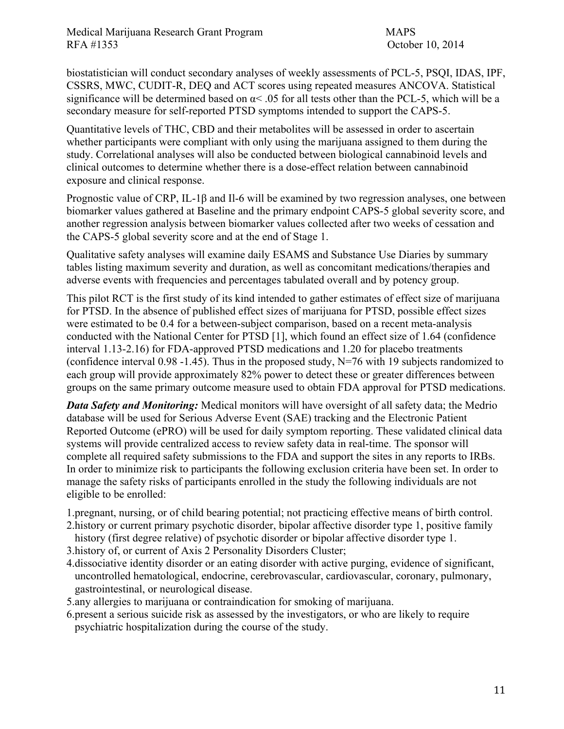biostatistician will conduct secondary analyses of weekly assessments of PCL-5, PSQI, IDAS, IPF, CSSRS, MWC, CUDIT-R, DEQ and ACT scores using repeated measures ANCOVA. Statistical significance will be determined based on  $\alpha$ < .05 for all tests other than the PCL-5, which will be a secondary measure for self-reported PTSD symptoms intended to support the CAPS-5.

Quantitative levels of THC, CBD and their metabolites will be assessed in order to ascertain whether participants were compliant with only using the marijuana assigned to them during the study. Correlational analyses will also be conducted between biological cannabinoid levels and clinical outcomes to determine whether there is a dose-effect relation between cannabinoid exposure and clinical response.

Prognostic value of CRP, IL-1β and Il-6 will be examined by two regression analyses, one between biomarker values gathered at Baseline and the primary endpoint CAPS-5 global severity score, and another regression analysis between biomarker values collected after two weeks of cessation and the CAPS-5 global severity score and at the end of Stage 1.

Qualitative safety analyses will examine daily ESAMS and Substance Use Diaries by summary tables listing maximum severity and duration, as well as concomitant medications/therapies and adverse events with frequencies and percentages tabulated overall and by potency group.

This pilot RCT is the first study of its kind intended to gather estimates of effect size of marijuana for PTSD. In the absence of published effect sizes of marijuana for PTSD, possible effect sizes were estimated to be 0.4 for a between-subject comparison, based on a recent meta-analysis conducted with the National Center for PTSD [1], which found an effect size of 1.64 (confidence interval 1.13-2.16) for FDA-approved PTSD medications and 1.20 for placebo treatments (confidence interval 0.98 -1.45). Thus in the proposed study, N=76 with 19 subjects randomized to each group will provide approximately 82% power to detect these or greater differences between groups on the same primary outcome measure used to obtain FDA approval for PTSD medications.

*Data Safety and Monitoring:* Medical monitors will have oversight of all safety data; the Medrio database will be used for Serious Adverse Event (SAE) tracking and the Electronic Patient Reported Outcome (ePRO) will be used for daily symptom reporting. These validated clinical data systems will provide centralized access to review safety data in real-time. The sponsor will complete all required safety submissions to the FDA and support the sites in any reports to IRBs. In order to minimize risk to participants the following exclusion criteria have been set. In order to manage the safety risks of participants enrolled in the study the following individuals are not eligible to be enrolled:

1.pregnant, nursing, or of child bearing potential; not practicing effective means of birth control.

- 2.history or current primary psychotic disorder, bipolar affective disorder type 1, positive family history (first degree relative) of psychotic disorder or bipolar affective disorder type 1.
- 3.history of, or current of Axis 2 Personality Disorders Cluster;
- 4.dissociative identity disorder or an eating disorder with active purging, evidence of significant, uncontrolled hematological, endocrine, cerebrovascular, cardiovascular, coronary, pulmonary, gastrointestinal, or neurological disease.
- 5.any allergies to marijuana or contraindication for smoking of marijuana.
- 6.present a serious suicide risk as assessed by the investigators, or who are likely to require psychiatric hospitalization during the course of the study.